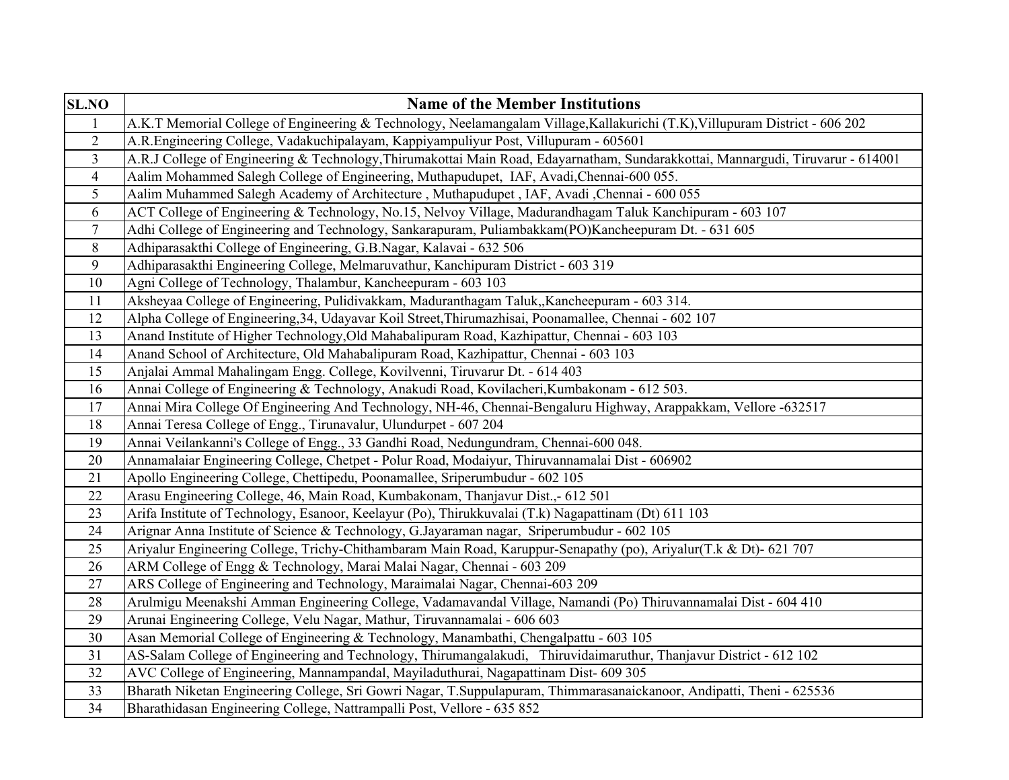| <b>SL.NO</b>            | <b>Name of the Member Institutions</b>                                                                                           |
|-------------------------|----------------------------------------------------------------------------------------------------------------------------------|
| $\mathbf{1}$            | A.K.T Memorial College of Engineering & Technology, Neelamangalam Village, Kallakurichi (T.K), Villupuram District - 606 202     |
| $\overline{2}$          | A.R.Engineering College, Vadakuchipalayam, Kappiyampuliyur Post, Villupuram - 605601                                             |
| $\overline{\mathbf{3}}$ | A.R.J College of Engineering & Technology, Thirumakottai Main Road, Edayarnatham, Sundarakkottai, Mannargudi, Tiruvarur - 614001 |
| $\overline{4}$          | Aalim Mohammed Salegh College of Engineering, Muthapudupet, IAF, Avadi, Chennai-600 055.                                         |
| $\mathfrak{S}$          | Aalim Muhammed Salegh Academy of Architecture, Muthapudupet, IAF, Avadi, Chennai - 600 055                                       |
| 6                       | ACT College of Engineering & Technology, No.15, Nelvoy Village, Madurandhagam Taluk Kanchipuram - 603 107                        |
| $\tau$                  | Adhi College of Engineering and Technology, Sankarapuram, Puliambakkam(PO)Kancheepuram Dt. - 631 605                             |
| 8                       | Adhiparasakthi College of Engineering, G.B.Nagar, Kalavai - 632 506                                                              |
| 9                       | Adhiparasakthi Engineering College, Melmaruvathur, Kanchipuram District - 603 319                                                |
| 10                      | Agni College of Technology, Thalambur, Kancheepuram - 603 103                                                                    |
| 11                      | Aksheyaa College of Engineering, Pulidivakkam, Maduranthagam Taluk,, Kancheepuram - 603 314.                                     |
| 12                      | Alpha College of Engineering, 34, Udayavar Koil Street, Thirumazhisai, Poonamallee, Chennai - 602 107                            |
| 13                      | Anand Institute of Higher Technology, Old Mahabalipuram Road, Kazhipattur, Chennai - 603 103                                     |
| 14                      | Anand School of Architecture, Old Mahabalipuram Road, Kazhipattur, Chennai - 603 103                                             |
| 15                      | Anjalai Ammal Mahalingam Engg. College, Kovilvenni, Tiruvarur Dt. - 614 403                                                      |
| 16                      | Annai College of Engineering & Technology, Anakudi Road, Kovilacheri, Kumbakonam - 612 503.                                      |
| 17                      | Annai Mira College Of Engineering And Technology, NH-46, Chennai-Bengaluru Highway, Arappakkam, Vellore -632517                  |
| 18                      | Annai Teresa College of Engg., Tirunavalur, Ulundurpet - 607 204                                                                 |
| 19                      | Annai Veilankanni's College of Engg., 33 Gandhi Road, Nedungundram, Chennai-600 048.                                             |
| 20                      | Annamalaiar Engineering College, Chetpet - Polur Road, Modaiyur, Thiruvannamalai Dist - 606902                                   |
| 21                      | Apollo Engineering College, Chettipedu, Poonamallee, Sriperumbudur - 602 105                                                     |
| 22                      | Arasu Engineering College, 46, Main Road, Kumbakonam, Thanjavur Dist.,- 612 501                                                  |
| 23                      | Arifa Institute of Technology, Esanoor, Keelayur (Po), Thirukkuvalai (T.k) Nagapattinam (Dt) 611 103                             |
| 24                      | Arignar Anna Institute of Science & Technology, G.Jayaraman nagar, Sriperumbudur - 602 105                                       |
| 25                      | Ariyalur Engineering College, Trichy-Chithambaram Main Road, Karuppur-Senapathy (po), Ariyalur(T.k & Dt)- 621 707                |
| 26                      | ARM College of Engg & Technology, Marai Malai Nagar, Chennai - 603 209                                                           |
| 27                      | ARS College of Engineering and Technology, Maraimalai Nagar, Chennai-603 209                                                     |
| 28                      | Arulmigu Meenakshi Amman Engineering College, Vadamavandal Village, Namandi (Po) Thiruvannamalai Dist - 604 410                  |
| 29                      | Arunai Engineering College, Velu Nagar, Mathur, Tiruvannamalai - 606 603                                                         |
| 30                      | Asan Memorial College of Engineering & Technology, Manambathi, Chengalpattu - 603 105                                            |
| 31                      | AS-Salam College of Engineering and Technology, Thirumangalakudi, Thiruvidaimaruthur, Thanjavur District - 612 102               |
| 32                      | AVC College of Engineering, Mannampandal, Mayiladuthurai, Nagapattinam Dist- 609 305                                             |
| 33                      | Bharath Niketan Engineering College, Sri Gowri Nagar, T.Suppulapuram, Thimmarasanaickanoor, Andipatti, Theni - 625536            |
| 34                      | Bharathidasan Engineering College, Nattrampalli Post, Vellore - 635 852                                                          |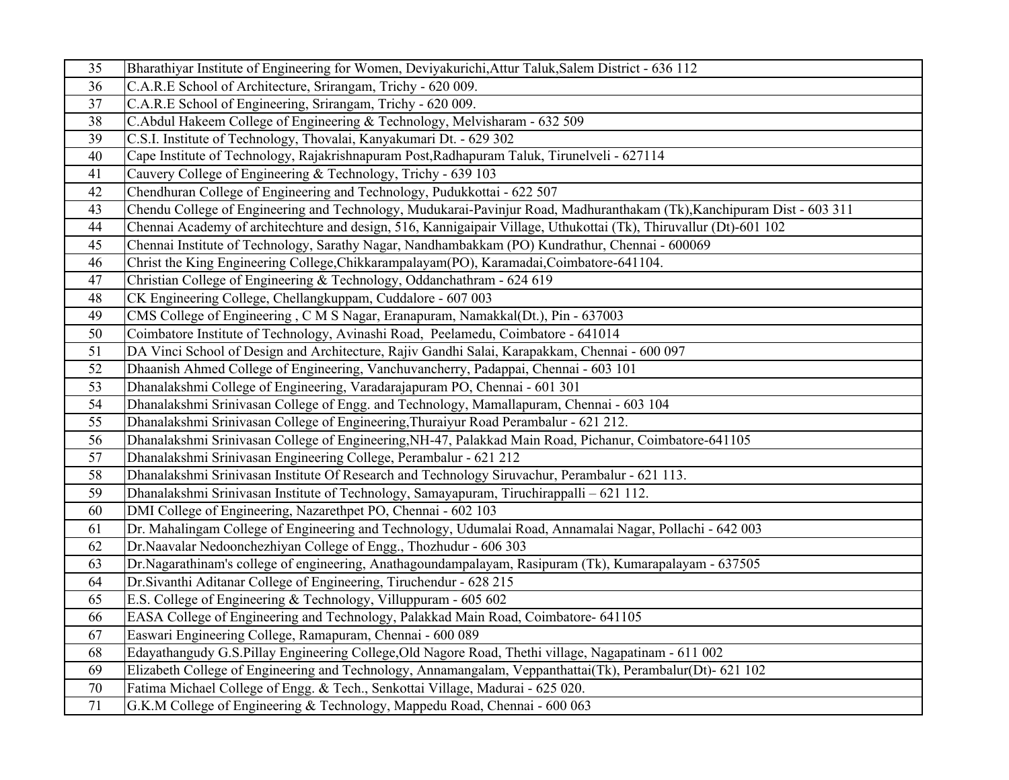| 35     | Bharathiyar Institute of Engineering for Women, Deviyakurichi, Attur Taluk, Salem District - 636 112                   |
|--------|------------------------------------------------------------------------------------------------------------------------|
| 36     | C.A.R.E School of Architecture, Srirangam, Trichy - 620 009.                                                           |
| 37     | C.A.R.E School of Engineering, Srirangam, Trichy - 620 009.                                                            |
| 38     | C.Abdul Hakeem College of Engineering & Technology, Melvisharam - 632 509                                              |
| 39     | C.S.I. Institute of Technology, Thovalai, Kanyakumari Dt. - 629 302                                                    |
| 40     | Cape Institute of Technology, Rajakrishnapuram Post, Radhapuram Taluk, Tirunelveli - 627114                            |
| 41     | Cauvery College of Engineering & Technology, Trichy - 639 103                                                          |
| 42     | Chendhuran College of Engineering and Technology, Pudukkottai - 622 507                                                |
| 43     | Chendu College of Engineering and Technology, Mudukarai-Pavinjur Road, Madhuranthakam (Tk), Kanchipuram Dist - 603 311 |
| 44     | Chennai Academy of architechture and design, 516, Kannigaipair Village, Uthukottai (Tk), Thiruvallur (Dt)-601 102      |
| 45     | Chennai Institute of Technology, Sarathy Nagar, Nandhambakkam (PO) Kundrathur, Chennai - 600069                        |
| 46     | Christ the King Engineering College, Chikkarampalayam(PO), Karamadai, Coimbatore-641104.                               |
| 47     | Christian College of Engineering & Technology, Oddanchathram - 624 619                                                 |
| 48     | CK Engineering College, Chellangkuppam, Cuddalore - 607 003                                                            |
| 49     | CMS College of Engineering, C M S Nagar, Eranapuram, Namakkal(Dt.), Pin - 637003                                       |
| 50     | Coimbatore Institute of Technology, Avinashi Road, Peelamedu, Coimbatore - 641014                                      |
| 51     | DA Vinci School of Design and Architecture, Rajiv Gandhi Salai, Karapakkam, Chennai - 600 097                          |
| 52     | Dhaanish Ahmed College of Engineering, Vanchuvancherry, Padappai, Chennai - 603 101                                    |
| 53     | Dhanalakshmi College of Engineering, Varadarajapuram PO, Chennai - 601 301                                             |
| 54     | Dhanalakshmi Srinivasan College of Engg. and Technology, Mamallapuram, Chennai - 603 104                               |
| 55     | Dhanalakshmi Srinivasan College of Engineering, Thuraiyur Road Perambalur - 621 212.                                   |
| 56     | Dhanalakshmi Srinivasan College of Engineering, NH-47, Palakkad Main Road, Pichanur, Coimbatore-641105                 |
| 57     | Dhanalakshmi Srinivasan Engineering College, Perambalur - 621 212                                                      |
| 58     | Dhanalakshmi Srinivasan Institute Of Research and Technology Siruvachur, Perambalur - 621 113.                         |
| 59     | Dhanalakshmi Srinivasan Institute of Technology, Samayapuram, Tiruchirappalli - 621 112.                               |
| 60     | DMI College of Engineering, Nazarethpet PO, Chennai - 602 103                                                          |
| 61     | Dr. Mahalingam College of Engineering and Technology, Udumalai Road, Annamalai Nagar, Pollachi - 642 003               |
| 62     | Dr.Naavalar Nedoonchezhiyan College of Engg., Thozhudur - 606 303                                                      |
| 63     | Dr.Nagarathinam's college of engineering, Anathagoundampalayam, Rasipuram (Tk), Kumarapalayam - 637505                 |
| 64     | Dr. Sivanthi Aditanar College of Engineering, Tiruchendur - 628 215                                                    |
| 65     | E.S. College of Engineering & Technology, Villuppuram - 605 602                                                        |
| 66     | EASA College of Engineering and Technology, Palakkad Main Road, Coimbatore- 641105                                     |
| 67     | Easwari Engineering College, Ramapuram, Chennai - 600 089                                                              |
| 68     | Edayathangudy G.S.Pillay Engineering College, Old Nagore Road, Thethi village, Nagapatinam - 611 002                   |
| 69     | Elizabeth College of Engineering and Technology, Annamangalam, Veppanthattai(Tk), Perambalur(Dt)- 621 102              |
| $70\,$ | Fatima Michael College of Engg. & Tech., Senkottai Village, Madurai - 625 020.                                         |
| 71     | G.K.M College of Engineering & Technology, Mappedu Road, Chennai - 600 063                                             |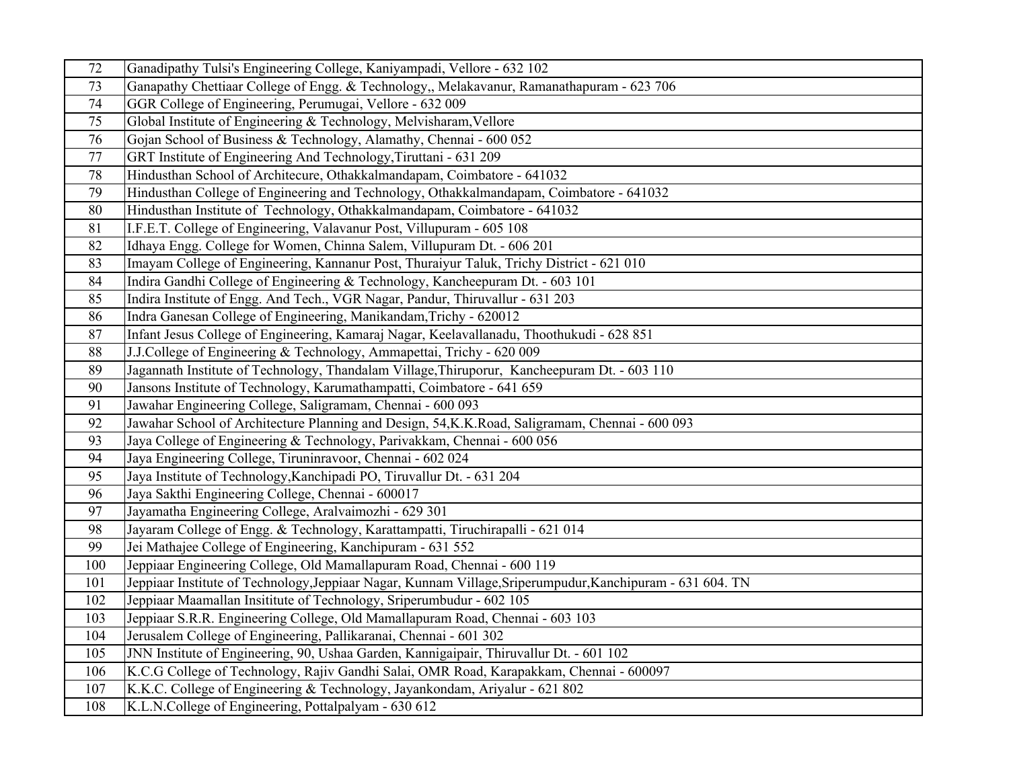| 72              | Ganadipathy Tulsi's Engineering College, Kaniyampadi, Vellore - 632 102                                    |
|-----------------|------------------------------------------------------------------------------------------------------------|
| 73              | Ganapathy Chettiaar College of Engg. & Technology,, Melakavanur, Ramanathapuram - 623 706                  |
| 74              | GGR College of Engineering, Perumugai, Vellore - 632 009                                                   |
| 75              | Global Institute of Engineering & Technology, Melvisharam, Vellore                                         |
| 76              | Gojan School of Business & Technology, Alamathy, Chennai - 600 052                                         |
| 77              | GRT Institute of Engineering And Technology, Tiruttani - 631 209                                           |
| 78              | Hindusthan School of Architecure, Othakkalmandapam, Coimbatore - 641032                                    |
| 79              | Hindusthan College of Engineering and Technology, Othakkalmandapam, Coimbatore - 641032                    |
| 80              | Hindusthan Institute of Technology, Othakkalmandapam, Coimbatore - 641032                                  |
| $\overline{81}$ | I.F.E.T. College of Engineering, Valavanur Post, Villupuram - 605 108                                      |
| 82              | Idhaya Engg. College for Women, Chinna Salem, Villupuram Dt. - 606 201                                     |
| 83              | Imayam College of Engineering, Kannanur Post, Thuraiyur Taluk, Trichy District - 621 010                   |
| 84              | Indira Gandhi College of Engineering & Technology, Kancheepuram Dt. - 603 101                              |
| 85              | Indira Institute of Engg. And Tech., VGR Nagar, Pandur, Thiruvallur - 631 203                              |
| 86              | Indra Ganesan College of Engineering, Manikandam, Trichy - 620012                                          |
| 87              | Infant Jesus College of Engineering, Kamaraj Nagar, Keelavallanadu, Thoothukudi - 628 851                  |
| 88              | J.J.College of Engineering & Technology, Ammapettai, Trichy - 620 009                                      |
| 89              | Jagannath Institute of Technology, Thandalam Village, Thiruporur, Kancheepuram Dt. - 603 110               |
| 90              | Jansons Institute of Technology, Karumathampatti, Coimbatore - 641 659                                     |
| 91              | Jawahar Engineering College, Saligramam, Chennai - 600 093                                                 |
| 92              | Jawahar School of Architecture Planning and Design, 54, K. K. Road, Saligramam, Chennai - 600 093          |
| 93              | Jaya College of Engineering & Technology, Parivakkam, Chennai - 600 056                                    |
| 94              | Jaya Engineering College, Tiruninravoor, Chennai - 602 024                                                 |
| 95              | Jaya Institute of Technology, Kanchipadi PO, Tiruvallur Dt. - 631 204                                      |
| 96              | Jaya Sakthi Engineering College, Chennai - 600017                                                          |
| 97              | Jayamatha Engineering College, Aralvaimozhi - 629 301                                                      |
| 98              | Jayaram College of Engg. & Technology, Karattampatti, Tiruchirapalli - 621 014                             |
| 99              | Jei Mathajee College of Engineering, Kanchipuram - 631 552                                                 |
| 100             | Jeppiaar Engineering College, Old Mamallapuram Road, Chennai - 600 119                                     |
| 101             | Jeppiaar Institute of Technology, Jeppiaar Nagar, Kunnam Village, Sriperumpudur, Kanchipuram - 631 604. TN |
| 102             | Jeppiaar Maamallan Insititute of Technology, Sriperumbudur - 602 105                                       |
| 103             | Jeppiaar S.R.R. Engineering College, Old Mamallapuram Road, Chennai - 603 103                              |
| 104             | Jerusalem College of Engineering, Pallikaranai, Chennai - 601 302                                          |
| 105             | JNN Institute of Engineering, 90, Ushaa Garden, Kannigaipair, Thiruvallur Dt. - 601 102                    |
| 106             | K.C.G College of Technology, Rajiv Gandhi Salai, OMR Road, Karapakkam, Chennai - 600097                    |
| 107             | K.K.C. College of Engineering & Technology, Jayankondam, Ariyalur - 621 802                                |
| 108             | K.L.N.College of Engineering, Pottalpalyam - 630 612                                                       |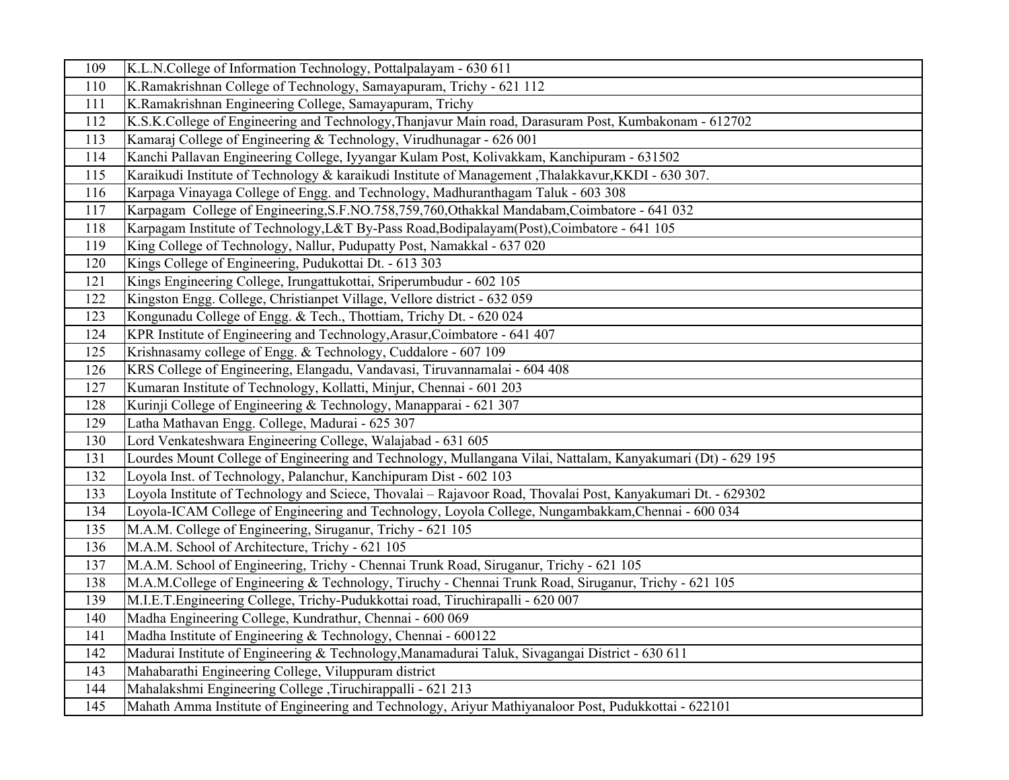| 109 | K.L.N.College of Information Technology, Pottalpalayam - 630 611                                             |
|-----|--------------------------------------------------------------------------------------------------------------|
| 110 | K.Ramakrishnan College of Technology, Samayapuram, Trichy - 621 112                                          |
| 111 | K.Ramakrishnan Engineering College, Samayapuram, Trichy                                                      |
| 112 | K.S.K.College of Engineering and Technology, Thanjavur Main road, Darasuram Post, Kumbakonam - 612702        |
| 113 | Kamaraj College of Engineering & Technology, Virudhunagar - 626 001                                          |
| 114 | Kanchi Pallavan Engineering College, Iyyangar Kulam Post, Kolivakkam, Kanchipuram - 631502                   |
| 115 | Karaikudi Institute of Technology & karaikudi Institute of Management , Thalakkavur, KKDI - 630 307.         |
| 116 | Karpaga Vinayaga College of Engg. and Technology, Madhuranthagam Taluk - 603 308                             |
| 117 | Karpagam College of Engineering, S.F.NO.758, 759, 760, Othakkal Mandabam, Coimbatore - 641 032               |
| 118 | Karpagam Institute of Technology, L&T By-Pass Road, Bodipalayam (Post), Coimbatore - 641 105                 |
| 119 | King College of Technology, Nallur, Pudupatty Post, Namakkal - 637 020                                       |
| 120 | Kings College of Engineering, Pudukottai Dt. - 613 303                                                       |
| 121 | Kings Engineering College, Irungattukottai, Sriperumbudur - 602 105                                          |
| 122 | Kingston Engg. College, Christianpet Village, Vellore district - 632 059                                     |
| 123 | Kongunadu College of Engg. & Tech., Thottiam, Trichy Dt. - 620 024                                           |
| 124 | KPR Institute of Engineering and Technology, Arasur, Coimbatore - 641 407                                    |
| 125 | Krishnasamy college of Engg. & Technology, Cuddalore - 607 109                                               |
| 126 | KRS College of Engineering, Elangadu, Vandavasi, Tiruvannamalai - 604 408                                    |
| 127 | Kumaran Institute of Technology, Kollatti, Minjur, Chennai - 601 203                                         |
| 128 | Kurinji College of Engineering & Technology, Manapparai - 621 307                                            |
| 129 | Latha Mathavan Engg. College, Madurai - 625 307                                                              |
| 130 | Lord Venkateshwara Engineering College, Walajabad - 631 605                                                  |
| 131 | Lourdes Mount College of Engineering and Technology, Mullangana Vilai, Nattalam, Kanyakumari (Dt) - 629 195  |
| 132 | Loyola Inst. of Technology, Palanchur, Kanchipuram Dist - 602 103                                            |
| 133 | Loyola Institute of Technology and Sciece, Thovalai - Rajavoor Road, Thovalai Post, Kanyakumari Dt. - 629302 |
| 134 | Loyola-ICAM College of Engineering and Technology, Loyola College, Nungambakkam, Chennai - 600 034           |
| 135 | M.A.M. College of Engineering, Siruganur, Trichy - 621 105                                                   |
| 136 | M.A.M. School of Architecture, Trichy - 621 105                                                              |
| 137 | M.A.M. School of Engineering, Trichy - Chennai Trunk Road, Siruganur, Trichy - 621 105                       |
| 138 | M.A.M.College of Engineering & Technology, Tiruchy - Chennai Trunk Road, Siruganur, Trichy - 621 105         |
| 139 | M.I.E.T.Engineering College, Trichy-Pudukkottai road, Tiruchirapalli - 620 007                               |
| 140 | Madha Engineering College, Kundrathur, Chennai - 600 069                                                     |
| 141 | Madha Institute of Engineering & Technology, Chennai - 600122                                                |
| 142 | Madurai Institute of Engineering & Technology, Manamadurai Taluk, Sivagangai District - 630 611              |
| 143 | Mahabarathi Engineering College, Viluppuram district                                                         |
| 144 | Mahalakshmi Engineering College ,Tiruchirappalli - 621 213                                                   |
| 145 | Mahath Amma Institute of Engineering and Technology, Ariyur Mathiyanaloor Post, Pudukkottai - 622101         |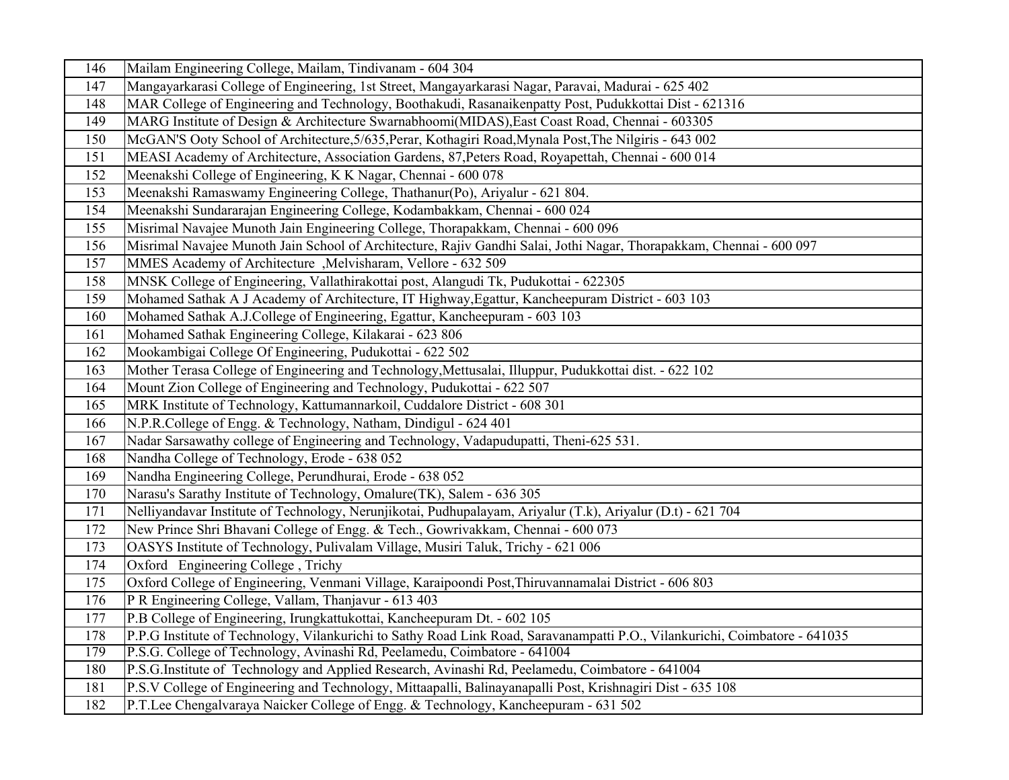| 146 | Mailam Engineering College, Mailam, Tindivanam - 604 304                                                                    |
|-----|-----------------------------------------------------------------------------------------------------------------------------|
| 147 | Mangayarkarasi College of Engineering, 1st Street, Mangayarkarasi Nagar, Paravai, Madurai - 625 402                         |
| 148 | MAR College of Engineering and Technology, Boothakudi, Rasanaikenpatty Post, Pudukkottai Dist - 621316                      |
| 149 | MARG Institute of Design & Architecture Swarnabhoomi(MIDAS), East Coast Road, Chennai - 603305                              |
| 150 | McGAN'S Ooty School of Architecture, 5/635, Perar, Kothagiri Road, Mynala Post, The Nilgiris - 643 002                      |
| 151 | MEASI Academy of Architecture, Association Gardens, 87, Peters Road, Royapettah, Chennai - 600 014                          |
| 152 | Meenakshi College of Engineering, K K Nagar, Chennai - 600 078                                                              |
| 153 | Meenakshi Ramaswamy Engineering College, Thathanur(Po), Ariyalur - 621 804.                                                 |
| 154 | Meenakshi Sundararajan Engineering College, Kodambakkam, Chennai - 600 024                                                  |
| 155 | Misrimal Navajee Munoth Jain Engineering College, Thorapakkam, Chennai - 600 096                                            |
| 156 | Misrimal Navajee Munoth Jain School of Architecture, Rajiv Gandhi Salai, Jothi Nagar, Thorapakkam, Chennai - 600 097        |
| 157 | MMES Academy of Architecture, Melvisharam, Vellore - 632 509                                                                |
| 158 | MNSK College of Engineering, Vallathirakottai post, Alangudi Tk, Pudukottai - 622305                                        |
| 159 | Mohamed Sathak A J Academy of Architecture, IT Highway, Egattur, Kancheepuram District - 603 103                            |
| 160 | Mohamed Sathak A.J.College of Engineering, Egattur, Kancheepuram - 603 103                                                  |
| 161 | Mohamed Sathak Engineering College, Kilakarai - 623 806                                                                     |
| 162 | Mookambigai College Of Engineering, Pudukottai - 622 502                                                                    |
| 163 | Mother Terasa College of Engineering and Technology, Mettusalai, Illuppur, Pudukkottai dist. - 622 102                      |
| 164 | Mount Zion College of Engineering and Technology, Pudukottai - 622 507                                                      |
| 165 | MRK Institute of Technology, Kattumannarkoil, Cuddalore District - 608 301                                                  |
| 166 | N.P.R.College of Engg. & Technology, Natham, Dindigul - 624 401                                                             |
| 167 | Nadar Sarsawathy college of Engineering and Technology, Vadapudupatti, Theni-625 531.                                       |
| 168 | Nandha College of Technology, Erode - 638 052                                                                               |
| 169 | Nandha Engineering College, Perundhurai, Erode - 638 052                                                                    |
| 170 | Narasu's Sarathy Institute of Technology, Omalure(TK), Salem - 636 305                                                      |
| 171 | Nelliyandavar Institute of Technology, Nerunjikotai, Pudhupalayam, Ariyalur (T.k), Ariyalur (D.t) - 621 704                 |
| 172 | New Prince Shri Bhavani College of Engg. & Tech., Gowrivakkam, Chennai - 600 073                                            |
| 173 | OASYS Institute of Technology, Pulivalam Village, Musiri Taluk, Trichy - 621 006                                            |
| 174 | Oxford Engineering College, Trichy                                                                                          |
| 175 | Oxford College of Engineering, Venmani Village, Karaipoondi Post, Thiruvannamalai District - 606 803                        |
| 176 | PR Engineering College, Vallam, Thanjavur - 613 403                                                                         |
| 177 | P.B College of Engineering, Irungkattukottai, Kancheepuram Dt. - 602 105                                                    |
| 178 | P.P.G Institute of Technology, Vilankurichi to Sathy Road Link Road, Saravanampatti P.O., Vilankurichi, Coimbatore - 641035 |
| 179 | P.S.G. College of Technology, Avinashi Rd, Peelamedu, Coimbatore - 641004                                                   |
| 180 | P.S.G.Institute of Technology and Applied Research, Avinashi Rd, Peelamedu, Coimbatore - 641004                             |
| 181 | P.S.V College of Engineering and Technology, Mittaapalli, Balinayanapalli Post, Krishnagiri Dist - 635 108                  |
| 182 | P.T.Lee Chengalvaraya Naicker College of Engg. & Technology, Kancheepuram - 631 502                                         |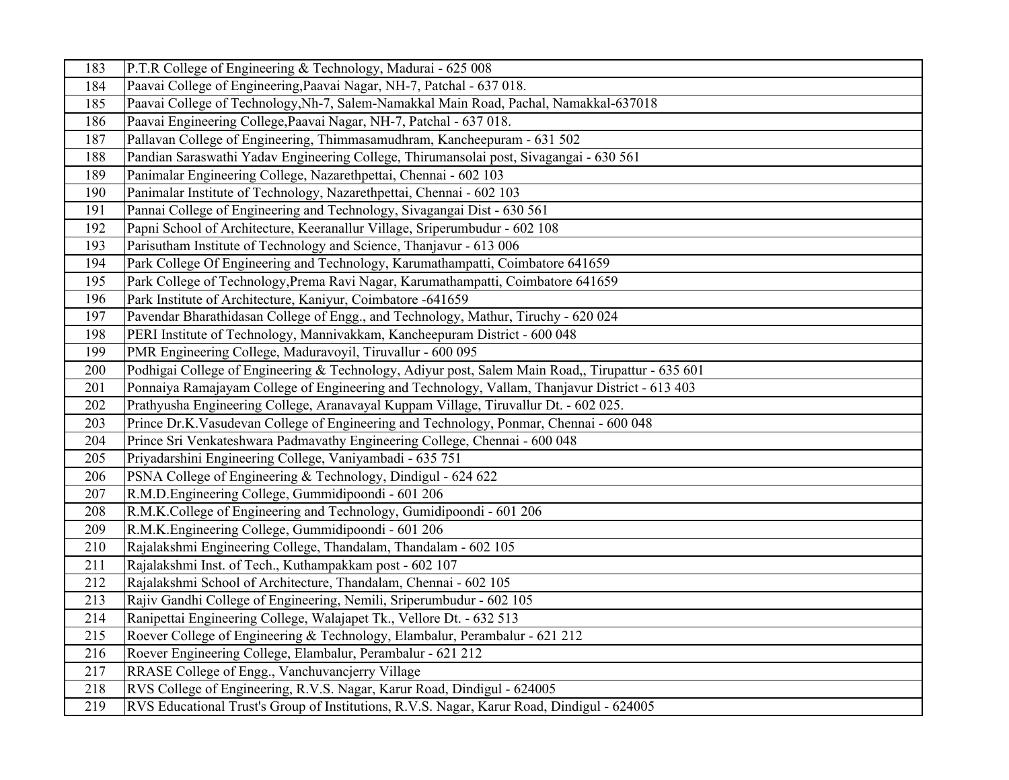| 183 | P.T.R College of Engineering & Technology, Madurai - 625 008                                      |
|-----|---------------------------------------------------------------------------------------------------|
| 184 | Paavai College of Engineering, Paavai Nagar, NH-7, Patchal - 637 018.                             |
| 185 | Paavai College of Technology, Nh-7, Salem-Namakkal Main Road, Pachal, Namakkal-637018             |
| 186 | Paavai Engineering College, Paavai Nagar, NH-7, Patchal - 637 018.                                |
| 187 | Pallavan College of Engineering, Thimmasamudhram, Kancheepuram - 631 502                          |
| 188 | Pandian Saraswathi Yadav Engineering College, Thirumansolai post, Sivagangai - 630 561            |
| 189 | Panimalar Engineering College, Nazarethpettai, Chennai - 602 103                                  |
| 190 | Panimalar Institute of Technology, Nazarethpettai, Chennai - 602 103                              |
| 191 | Pannai College of Engineering and Technology, Sivagangai Dist - 630 561                           |
| 192 | Papni School of Architecture, Keeranallur Village, Sriperumbudur - 602 108                        |
| 193 | Parisutham Institute of Technology and Science, Thanjavur - 613 006                               |
| 194 | Park College Of Engineering and Technology, Karumathampatti, Coimbatore 641659                    |
| 195 | Park College of Technology, Prema Ravi Nagar, Karumathampatti, Coimbatore 641659                  |
| 196 | Park Institute of Architecture, Kaniyur, Coimbatore -641659                                       |
| 197 | Pavendar Bharathidasan College of Engg., and Technology, Mathur, Tiruchy - 620 024                |
| 198 | PERI Institute of Technology, Mannivakkam, Kancheepuram District - 600 048                        |
| 199 | PMR Engineering College, Maduravoyil, Tiruvallur - 600 095                                        |
| 200 | Podhigai College of Engineering & Technology, Adiyur post, Salem Main Road,, Tirupattur - 635 601 |
| 201 | Ponnaiya Ramajayam College of Engineering and Technology, Vallam, Thanjavur District - 613 403    |
| 202 | Prathyusha Engineering College, Aranavayal Kuppam Village, Tiruvallur Dt. - 602 025.              |
| 203 | Prince Dr.K.Vasudevan College of Engineering and Technology, Ponmar, Chennai - 600 048            |
| 204 | Prince Sri Venkateshwara Padmavathy Engineering College, Chennai - 600 048                        |
| 205 | Priyadarshini Engineering College, Vaniyambadi - 635 751                                          |
| 206 | PSNA College of Engineering & Technology, Dindigul - 624 622                                      |
| 207 | R.M.D.Engineering College, Gummidipoondi - 601 206                                                |
| 208 | R.M.K.College of Engineering and Technology, Gumidipoondi - 601 206                               |
| 209 | R.M.K.Engineering College, Gummidipoondi - 601 206                                                |
| 210 | Rajalakshmi Engineering College, Thandalam, Thandalam - 602 105                                   |
| 211 | Rajalakshmi Inst. of Tech., Kuthampakkam post - 602 107                                           |
| 212 | Rajalakshmi School of Architecture, Thandalam, Chennai - 602 105                                  |
| 213 | Rajiv Gandhi College of Engineering, Nemili, Sriperumbudur - 602 105                              |
| 214 | Ranipettai Engineering College, Walajapet Tk., Vellore Dt. - 632 513                              |
| 215 | Roever College of Engineering & Technology, Elambalur, Perambalur - 621 212                       |
| 216 | Roever Engineering College, Elambalur, Perambalur - 621 212                                       |
| 217 | RRASE College of Engg., Vanchuvancjerry Village                                                   |
| 218 | RVS College of Engineering, R.V.S. Nagar, Karur Road, Dindigul - 624005                           |
| 219 | RVS Educational Trust's Group of Institutions, R.V.S. Nagar, Karur Road, Dindigul - 624005        |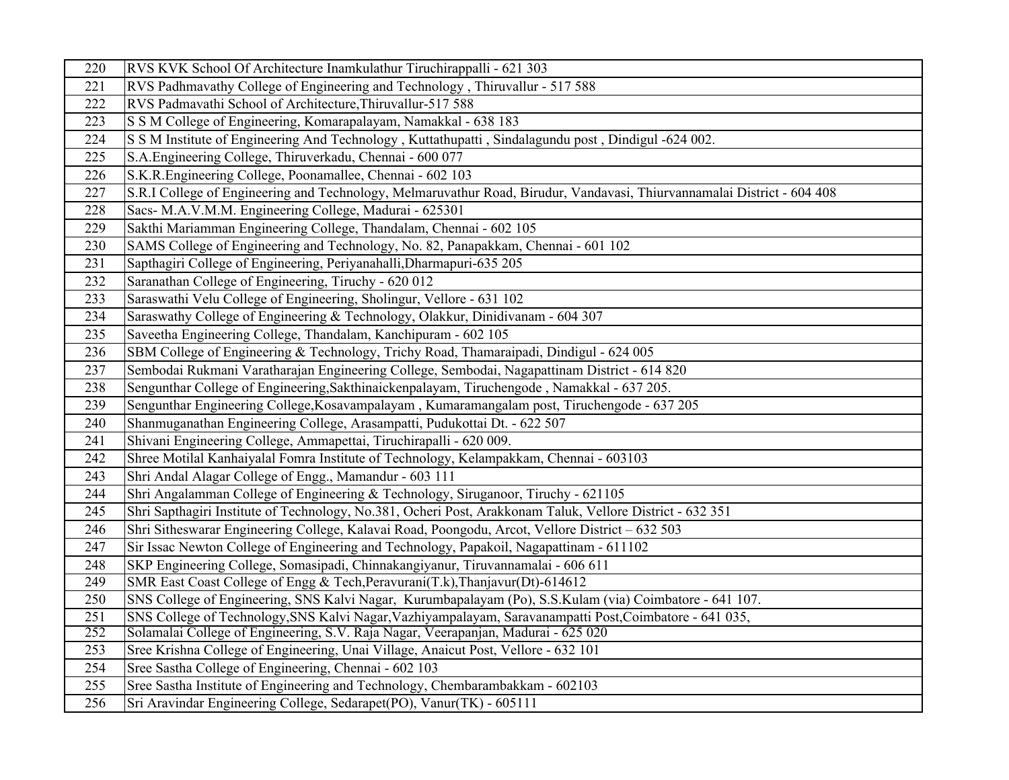| 220 | RVS KVK School Of Architecture Inamkulathur Tiruchirappalli - 621 303                                                   |
|-----|-------------------------------------------------------------------------------------------------------------------------|
| 221 | RVS Padhmavathy College of Engineering and Technology, Thiruvallur - 517 588                                            |
| 222 | RVS Padmavathi School of Architecture, Thiruvallur-517 588                                                              |
| 223 | S S M College of Engineering, Komarapalayam, Namakkal - 638 183                                                         |
| 224 | S S M Institute of Engineering And Technology, Kuttathupatti, Sindalagundu post, Dindigul -624 002.                     |
| 225 | S.A.Engineering College, Thiruverkadu, Chennai - 600 077                                                                |
| 226 | S.K.R.Engineering College, Poonamallee, Chennai - 602 103                                                               |
| 227 | S.R.I College of Engineering and Technology, Melmaruvathur Road, Birudur, Vandavasi, Thiurvannamalai District - 604 408 |
| 228 | Sacs- M.A.V.M.M. Engineering College, Madurai - 625301                                                                  |
| 229 | Sakthi Mariamman Engineering College, Thandalam, Chennai - 602 105                                                      |
| 230 | SAMS College of Engineering and Technology, No. 82, Panapakkam, Chennai - 601 102                                       |
| 231 | Sapthagiri College of Engineering, Periyanahalli, Dharmapuri-635 205                                                    |
| 232 | Saranathan College of Engineering, Tiruchy - 620 012                                                                    |
| 233 | Saraswathi Velu College of Engineering, Sholingur, Vellore - 631 102                                                    |
| 234 | Saraswathy College of Engineering & Technology, Olakkur, Dinidivanam - 604 307                                          |
| 235 | Saveetha Engineering College, Thandalam, Kanchipuram - 602 105                                                          |
| 236 | SBM College of Engineering & Technology, Trichy Road, Thamaraipadi, Dindigul - 624 005                                  |
| 237 | Sembodai Rukmani Varatharajan Engineering College, Sembodai, Nagapattinam District - 614 820                            |
| 238 | Sengunthar College of Engineering, Sakthinaickenpalayam, Tiruchengode, Namakkal - 637 205.                              |
| 239 | Sengunthar Engineering College, Kosavampalayam, Kumaramangalam post, Tiruchengode - 637 205                             |
| 240 | Shanmuganathan Engineering College, Arasampatti, Pudukottai Dt. - 622 507                                               |
| 241 | Shivani Engineering College, Ammapettai, Tiruchirapalli - 620 009.                                                      |
| 242 | Shree Motilal Kanhaiyalal Fomra Institute of Technology, Kelampakkam, Chennai - 603103                                  |
| 243 | Shri Andal Alagar College of Engg., Mamandur - 603 111                                                                  |
| 244 | Shri Angalamman College of Engineering & Technology, Siruganoor, Tiruchy - 621105                                       |
| 245 | Shri Sapthagiri Institute of Technology, No.381, Ocheri Post, Arakkonam Taluk, Vellore District - 632 351               |
| 246 | Shri Sitheswarar Engineering College, Kalavai Road, Poongodu, Arcot, Vellore District - 632 503                         |
| 247 | Sir Issac Newton College of Engineering and Technology, Papakoil, Nagapattinam - 611102                                 |
| 248 | SKP Engineering College, Somasipadi, Chinnakangiyanur, Tiruvannamalai - 606 611                                         |
| 249 | SMR East Coast College of Engg & Tech, Peravurani(T.k), Thanjavur(Dt)-614612                                            |
| 250 | SNS College of Engineering, SNS Kalvi Nagar, Kurumbapalayam (Po), S.S.Kulam (via) Coimbatore - 641 107.                 |
| 251 | SNS College of Technology, SNS Kalvi Nagar, Vazhiyampalayam, Saravanampatti Post, Coimbatore - 641 035,                 |
| 252 | Solamalai College of Engineering, S.V. Raja Nagar, Veerapanjan, Madurai - 625 020                                       |
| 253 | Sree Krishna College of Engineering, Unai Village, Anaicut Post, Vellore - 632 101                                      |
| 254 | Sree Sastha College of Engineering, Chennai - 602 103                                                                   |
| 255 | Sree Sastha Institute of Engineering and Technology, Chembarambakkam - 602103                                           |
| 256 | Sri Aravindar Engineering College, Sedarapet(PO), Vanur(TK) - 605111                                                    |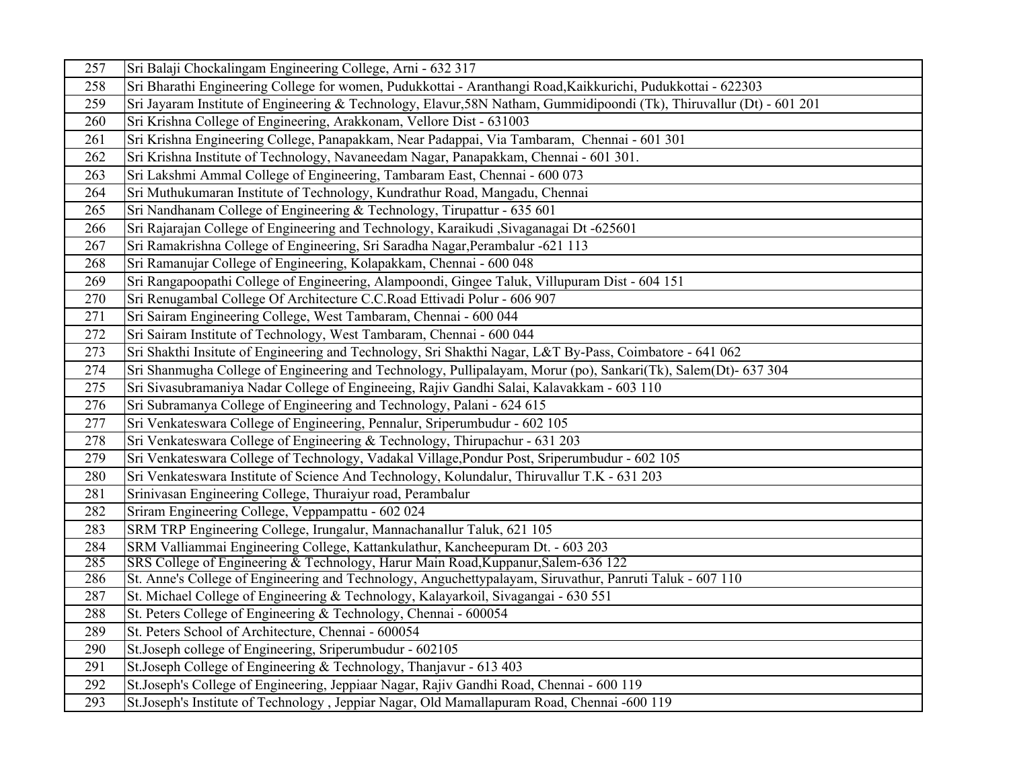| 257 | Sri Balaji Chockalingam Engineering College, Arni - 632 317                                                           |
|-----|-----------------------------------------------------------------------------------------------------------------------|
| 258 | Sri Bharathi Engineering College for women, Pudukkottai - Aranthangi Road, Kaikkurichi, Pudukkottai - 622303          |
| 259 | Sri Jayaram Institute of Engineering & Technology, Elavur, 58N Natham, Gummidipoondi (Tk), Thiruvallur (Dt) - 601 201 |
| 260 | Sri Krishna College of Engineering, Arakkonam, Vellore Dist - 631003                                                  |
| 261 | Sri Krishna Engineering College, Panapakkam, Near Padappai, Via Tambaram, Chennai - 601 301                           |
| 262 | Sri Krishna Institute of Technology, Navaneedam Nagar, Panapakkam, Chennai - 601 301.                                 |
| 263 | Sri Lakshmi Ammal College of Engineering, Tambaram East, Chennai - 600 073                                            |
| 264 | Sri Muthukumaran Institute of Technology, Kundrathur Road, Mangadu, Chennai                                           |
| 265 | Sri Nandhanam College of Engineering & Technology, Tirupattur - 635 601                                               |
| 266 | Sri Rajarajan College of Engineering and Technology, Karaikudi ,Sivaganagai Dt -625601                                |
| 267 | Sri Ramakrishna College of Engineering, Sri Saradha Nagar, Perambalur -621 113                                        |
| 268 | Sri Ramanujar College of Engineering, Kolapakkam, Chennai - 600 048                                                   |
| 269 | Sri Rangapoopathi College of Engineering, Alampoondi, Gingee Taluk, Villupuram Dist - 604 151                         |
| 270 | Sri Renugambal College Of Architecture C.C.Road Ettivadi Polur - 606 907                                              |
| 271 | Sri Sairam Engineering College, West Tambaram, Chennai - 600 044                                                      |
| 272 | Sri Sairam Institute of Technology, West Tambaram, Chennai - 600 044                                                  |
| 273 | Sri Shakthi Insitute of Engineering and Technology, Sri Shakthi Nagar, L&T By-Pass, Coimbatore - 641 062              |
| 274 | Sri Shanmugha College of Engineering and Technology, Pullipalayam, Morur (po), Sankari(Tk), Salem(Dt)- 637 304        |
| 275 | Sri Sivasubramaniya Nadar College of Engineeing, Rajiv Gandhi Salai, Kalavakkam - 603 110                             |
| 276 | Sri Subramanya College of Engineering and Technology, Palani - 624 615                                                |
| 277 | Sri Venkateswara College of Engineering, Pennalur, Sriperumbudur - 602 105                                            |
| 278 | Sri Venkateswara College of Engineering & Technology, Thirupachur - 631 203                                           |
| 279 | Sri Venkateswara College of Technology, Vadakal Village, Pondur Post, Sriperumbudur - 602 105                         |
| 280 | Sri Venkateswara Institute of Science And Technology, Kolundalur, Thiruvallur T.K - 631 203                           |
| 281 | Srinivasan Engineering College, Thuraiyur road, Perambalur                                                            |
| 282 | Sriram Engineering College, Veppampattu - 602 024                                                                     |
| 283 | SRM TRP Engineering College, Irungalur, Mannachanallur Taluk, 621 105                                                 |
| 284 | SRM Valliammai Engineering College, Kattankulathur, Kancheepuram Dt. - 603 203                                        |
| 285 | SRS College of Engineering & Technology, Harur Main Road, Kuppanur, Salem-636 122                                     |
| 286 | St. Anne's College of Engineering and Technology, Anguchettypalayam, Siruvathur, Panruti Taluk - 607 110              |
| 287 | St. Michael College of Engineering & Technology, Kalayarkoil, Sivagangai - 630 551                                    |
| 288 | St. Peters College of Engineering & Technology, Chennai - 600054                                                      |
| 289 | St. Peters School of Architecture, Chennai - 600054                                                                   |
| 290 | St.Joseph college of Engineering, Sriperumbudur - 602105                                                              |
| 291 | St.Joseph College of Engineering & Technology, Thanjavur - 613 403                                                    |
| 292 | St.Joseph's College of Engineering, Jeppiaar Nagar, Rajiv Gandhi Road, Chennai - 600 119                              |
| 293 | St.Joseph's Institute of Technology, Jeppiar Nagar, Old Mamallapuram Road, Chennai -600 119                           |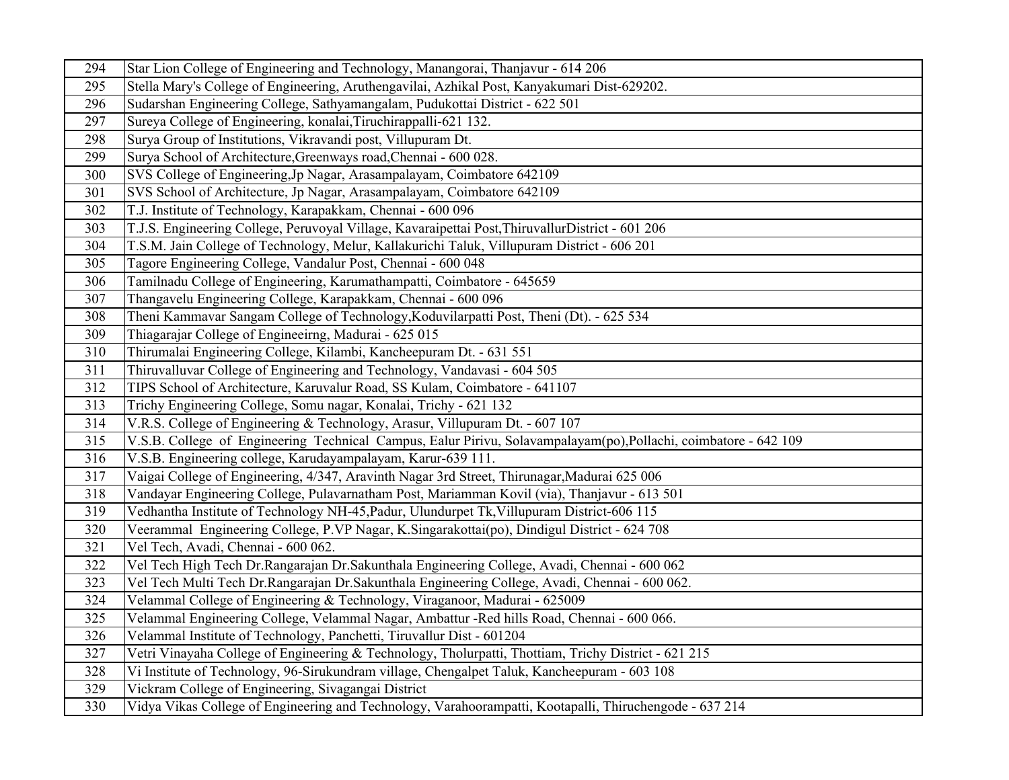| 294 | Star Lion College of Engineering and Technology, Manangorai, Thanjavur - 614 206                                |
|-----|-----------------------------------------------------------------------------------------------------------------|
| 295 | Stella Mary's College of Engineering, Aruthengavilai, Azhikal Post, Kanyakumari Dist-629202.                    |
| 296 | Sudarshan Engineering College, Sathyamangalam, Pudukottai District - 622 501                                    |
| 297 | Sureya College of Engineering, konalai, Tiruchirappalli-621 132.                                                |
| 298 | Surya Group of Institutions, Vikravandi post, Villupuram Dt.                                                    |
| 299 | Surya School of Architecture, Greenways road, Chennai - 600 028.                                                |
| 300 | SVS College of Engineering, Jp Nagar, Arasampalayam, Coimbatore 642109                                          |
| 301 | SVS School of Architecture, Jp Nagar, Arasampalayam, Coimbatore 642109                                          |
| 302 | T.J. Institute of Technology, Karapakkam, Chennai - 600 096                                                     |
| 303 | T.J.S. Engineering College, Peruvoyal Village, Kavaraipettai Post, ThiruvallurDistrict - 601 206                |
| 304 | T.S.M. Jain College of Technology, Melur, Kallakurichi Taluk, Villupuram District - 606 201                     |
| 305 | Tagore Engineering College, Vandalur Post, Chennai - 600 048                                                    |
| 306 | Tamilnadu College of Engineering, Karumathampatti, Coimbatore - 645659                                          |
| 307 | Thangavelu Engineering College, Karapakkam, Chennai - 600 096                                                   |
| 308 | Theni Kammavar Sangam College of Technology, Koduvilarpatti Post, Theni (Dt). - 625 534                         |
| 309 | Thiagarajar College of Engineeirng, Madurai - 625 015                                                           |
| 310 | Thirumalai Engineering College, Kilambi, Kancheepuram Dt. - 631 551                                             |
| 311 | Thiruvalluvar College of Engineering and Technology, Vandavasi - 604 505                                        |
| 312 | TIPS School of Architecture, Karuvalur Road, SS Kulam, Coimbatore - 641107                                      |
| 313 | Trichy Engineering College, Somu nagar, Konalai, Trichy - 621 132                                               |
| 314 | V.R.S. College of Engineering & Technology, Arasur, Villupuram Dt. - 607 107                                    |
| 315 | V.S.B. College of Engineering Technical Campus, Ealur Pirivu, Solavampalayam(po),Pollachi, coimbatore - 642 109 |
| 316 | V.S.B. Engineering college, Karudayampalayam, Karur-639 111.                                                    |
| 317 | Vaigai College of Engineering, 4/347, Aravinth Nagar 3rd Street, Thirunagar, Madurai 625 006                    |
| 318 | Vandayar Engineering College, Pulavarnatham Post, Mariamman Kovil (via), Thanjavur - 613 501                    |
| 319 | Vedhantha Institute of Technology NH-45, Padur, Ulundurpet Tk, Villupuram District-606 115                      |
| 320 | Veerammal Engineering College, P.VP Nagar, K.Singarakottai(po), Dindigul District - 624 708                     |
| 321 | Vel Tech, Avadi, Chennai - 600 062.                                                                             |
| 322 | Vel Tech High Tech Dr.Rangarajan Dr.Sakunthala Engineering College, Avadi, Chennai - 600 062                    |
| 323 | Vel Tech Multi Tech Dr.Rangarajan Dr.Sakunthala Engineering College, Avadi, Chennai - 600 062.                  |
| 324 | Velammal College of Engineering & Technology, Viraganoor, Madurai - 625009                                      |
| 325 | Velammal Engineering College, Velammal Nagar, Ambattur -Red hills Road, Chennai - 600 066.                      |
| 326 | Velammal Institute of Technology, Panchetti, Tiruvallur Dist - 601204                                           |
| 327 | Vetri Vinayaha College of Engineering & Technology, Tholurpatti, Thottiam, Trichy District - 621 215            |
| 328 | Vi Institute of Technology, 96-Sirukundram village, Chengalpet Taluk, Kancheepuram - 603 108                    |
| 329 | Vickram College of Engineering, Sivagangai District                                                             |
| 330 | Vidya Vikas College of Engineering and Technology, Varahoorampatti, Kootapalli, Thiruchengode - 637 214         |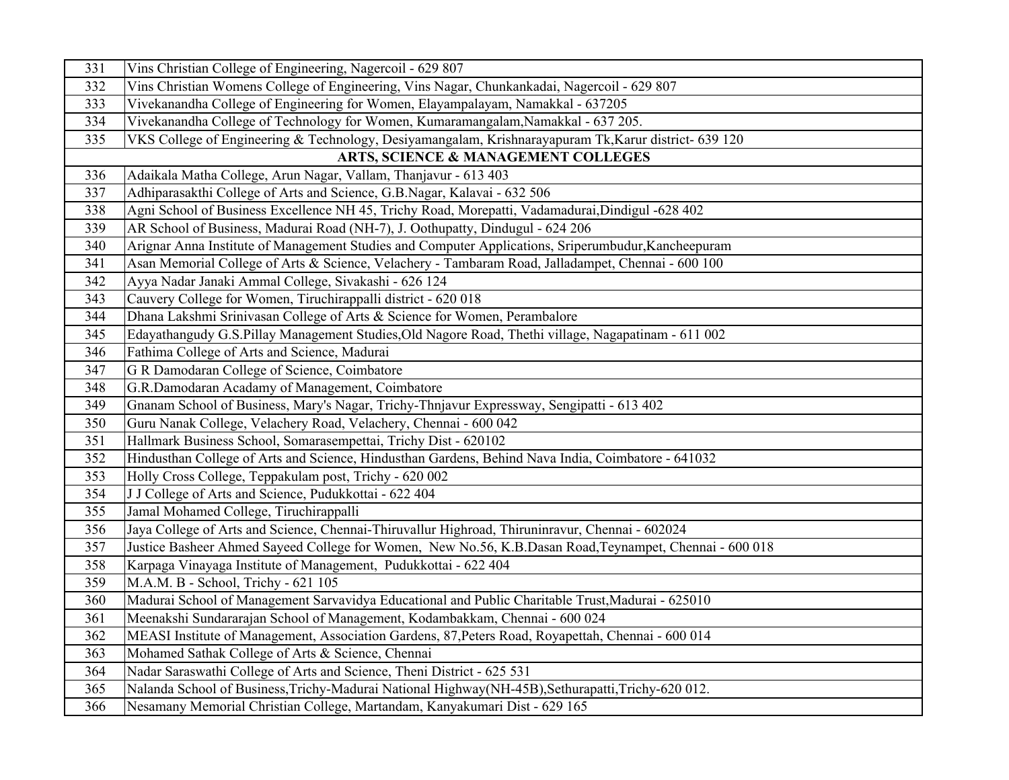| 331 | Vins Christian College of Engineering, Nagercoil - 629 807                                              |
|-----|---------------------------------------------------------------------------------------------------------|
| 332 | Vins Christian Womens College of Engineering, Vins Nagar, Chunkankadai, Nagercoil - 629 807             |
| 333 | Vivekanandha College of Engineering for Women, Elayampalayam, Namakkal - 637205                         |
| 334 | Vivekanandha College of Technology for Women, Kumaramangalam, Namakkal - 637 205.                       |
| 335 | VKS College of Engineering & Technology, Desiyamangalam, Krishnarayapuram Tk, Karur district- 639 120   |
|     | ARTS, SCIENCE & MANAGEMENT COLLEGES                                                                     |
| 336 | Adaikala Matha College, Arun Nagar, Vallam, Thanjavur - 613 403                                         |
| 337 | Adhiparasakthi College of Arts and Science, G.B.Nagar, Kalavai - 632 506                                |
| 338 | Agni School of Business Excellence NH 45, Trichy Road, Morepatti, Vadamadurai, Dindigul -628 402        |
| 339 | AR School of Business, Madurai Road (NH-7), J. Oothupatty, Dindugul - 624 206                           |
| 340 | Arignar Anna Institute of Management Studies and Computer Applications, Sriperumbudur, Kancheepuram     |
| 341 | Asan Memorial College of Arts & Science, Velachery - Tambaram Road, Jalladampet, Chennai - 600 100      |
| 342 | Ayya Nadar Janaki Ammal College, Sivakashi - 626 124                                                    |
| 343 | Cauvery College for Women, Tiruchirappalli district - 620 018                                           |
| 344 | Dhana Lakshmi Srinivasan College of Arts & Science for Women, Perambalore                               |
| 345 | Edayathangudy G.S.Pillay Management Studies, Old Nagore Road, Thethi village, Nagapatinam - 611 002     |
| 346 | Fathima College of Arts and Science, Madurai                                                            |
| 347 | G R Damodaran College of Science, Coimbatore                                                            |
| 348 | G.R.Damodaran Acadamy of Management, Coimbatore                                                         |
| 349 | Gnanam School of Business, Mary's Nagar, Trichy-Thnjavur Expressway, Sengipatti - 613 402               |
| 350 | Guru Nanak College, Velachery Road, Velachery, Chennai - 600 042                                        |
| 351 | Hallmark Business School, Somarasempettai, Trichy Dist - 620102                                         |
| 352 | Hindusthan College of Arts and Science, Hindusthan Gardens, Behind Nava India, Coimbatore - 641032      |
| 353 | Holly Cross College, Teppakulam post, Trichy - 620 002                                                  |
| 354 | J J College of Arts and Science, Pudukkottai - 622 404                                                  |
| 355 | Jamal Mohamed College, Tiruchirappalli                                                                  |
| 356 | Jaya College of Arts and Science, Chennai-Thiruvallur Highroad, Thiruninravur, Chennai - 602024         |
| 357 | Justice Basheer Ahmed Sayeed College for Women, New No.56, K.B.Dasan Road, Teynampet, Chennai - 600 018 |
| 358 | Karpaga Vinayaga Institute of Management, Pudukkottai - 622 404                                         |
| 359 | M.A.M. B - School, Trichy - 621 105                                                                     |
| 360 | Madurai School of Management Sarvavidya Educational and Public Charitable Trust, Madurai - 625010       |
| 361 | Meenakshi Sundararajan School of Management, Kodambakkam, Chennai - 600 024                             |
| 362 | MEASI Institute of Management, Association Gardens, 87, Peters Road, Royapettah, Chennai - 600 014      |
| 363 | Mohamed Sathak College of Arts & Science, Chennai                                                       |
| 364 | Nadar Saraswathi College of Arts and Science, Theni District - 625 531                                  |
| 365 | Nalanda School of Business, Trichy-Madurai National Highway(NH-45B), Sethurapatti, Trichy-620 012.      |
| 366 | Nesamany Memorial Christian College, Martandam, Kanyakumari Dist - 629 165                              |